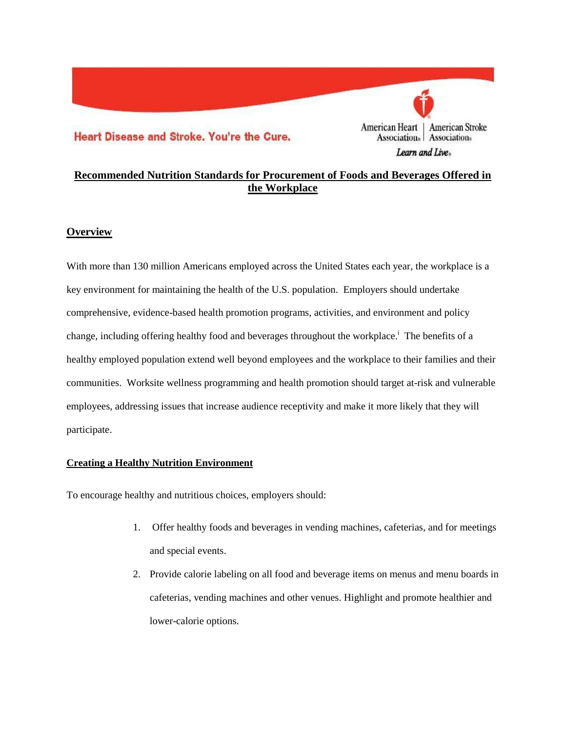# Heart Disease and Stroke. You're the Cure.



# **Recommended Nutrition Standards for Procurement of Foods and Beverages Offered in the Workplace**

### **Overview**

With more than 130 million Americans employed across the United States each year, the workplace is a key environment for maintaining the health of the U.S. population. Employers should undertake comprehensive, evidence-based health promotion programs, activities, and environment and policy change, including offering healthy food and beverages throughout the workplace.<sup>i</sup> The benefits of a healthy employed population extend well beyond employees and the workplace to their families and their communities. Worksite wellness programming and health promotion should target at-risk and vulnerable employees, addressing issues that increase audience receptivity and make it more likely that they will participate.

#### **Creating a Healthy Nutrition Environment**

To encourage healthy and nutritious choices, employers should:

- 1. Offer healthy foods and beverages in vending machines, cafeterias, and for meetings and special events.
- 2. Provide calorie labeling on all food and beverage items on menus and menu boards in cafeterias, vending machines and other venues. Highlight and promote healthier and lower-calorie options.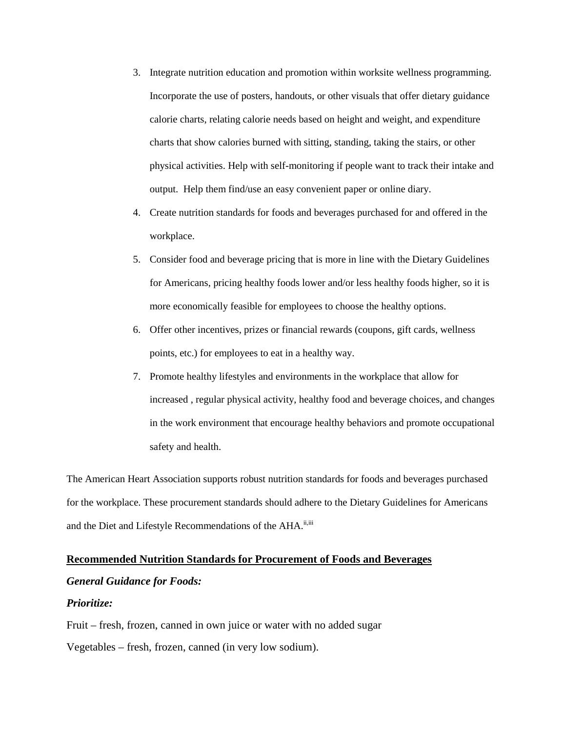- 3. Integrate nutrition education and promotion within worksite wellness programming. Incorporate the use of posters, handouts, or other visuals that offer dietary guidance calorie charts, relating calorie needs based on height and weight, and expenditure charts that show calories burned with sitting, standing, taking the stairs, or other physical activities. Help with self-monitoring if people want to track their intake and output. Help them find/use an easy convenient paper or online diary.
- 4. Create nutrition standards for foods and beverages purchased for and offered in the workplace.
- 5. Consider food and beverage pricing that is more in line with the Dietary Guidelines for Americans, pricing healthy foods lower and/or less healthy foods higher, so it is more economically feasible for employees to choose the healthy options.
- 6. Offer other incentives, prizes or financial rewards (coupons, gift cards, wellness points, etc.) for employees to eat in a healthy way.
- 7. Promote healthy lifestyles and environments in the workplace that allow for increased , regular physical activity, healthy food and beverage choices, and changes in the work environment that encourage healthy behaviors and promote occupational safety and health.

The American Heart Association supports robust nutrition standards for foods and beverages purchased for the workplace. These procurement standards should adhere to the Dietary Guidelines for Americans and the Diet and Lifestyle Recommendations of the AHA.<sup>ii,iii</sup>

#### **Recommended Nutrition Standards for Procurement of Foods and Beverages**

### *General Guidance for Foods:*

#### *Prioritize:*

Fruit – fresh, frozen, canned in own juice or water with no added sugar

Vegetables – fresh, frozen, canned (in very low sodium).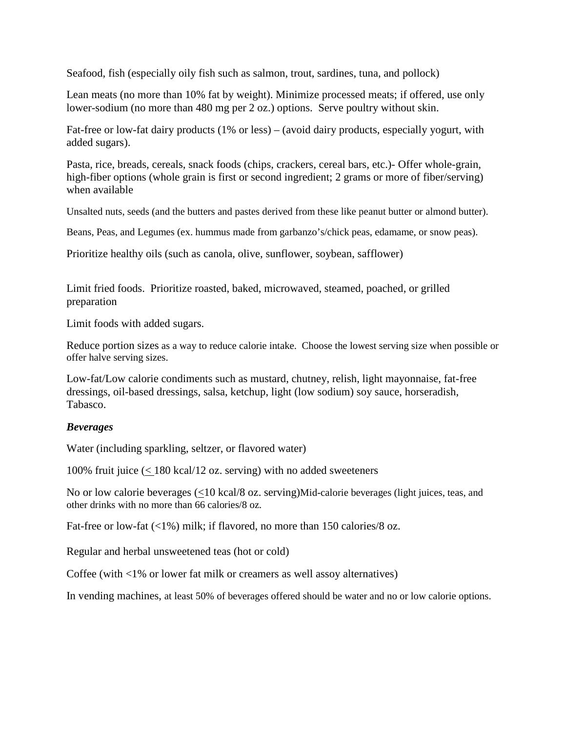Seafood, fish (especially oily fish such as salmon, trout, sardines, tuna, and pollock)

Lean meats (no more than 10% fat by weight). Minimize processed meats; if offered, use only lower-sodium (no more than 480 mg per 2 oz.) options. Serve poultry without skin.

Fat-free or low-fat dairy products (1% or less) – (avoid dairy products, especially yogurt, with added sugars).

Pasta, rice, breads, cereals, snack foods (chips, crackers, cereal bars, etc.)- Offer whole-grain, high-fiber options (whole grain is first or second ingredient; 2 grams or more of fiber/serving) when available

Unsalted nuts, seeds (and the butters and pastes derived from these like peanut butter or almond butter).

Beans, Peas, and Legumes (ex. hummus made from garbanzo's/chick peas, edamame, or snow peas).

Prioritize healthy oils (such as canola, olive, sunflower, soybean, safflower)

Limit fried foods. Prioritize roasted, baked, microwaved, steamed, poached, or grilled preparation

Limit foods with added sugars.

Reduce portion sizes as a way to reduce calorie intake. Choose the lowest serving size when possible or offer halve serving sizes.

Low-fat/Low calorie condiments such as mustard, chutney, relish, light mayonnaise, fat-free dressings, oil-based dressings, salsa, ketchup, light (low sodium) soy sauce, horseradish, Tabasco.

## *Beverages*

Water (including sparkling, seltzer, or flavored water)

100% fruit juice  $\leq 180$  kcal/12 oz. serving) with no added sweeteners

No or low calorie beverages (<10 kcal/8 oz. serving)Mid-calorie beverages (light juices, teas, and other drinks with no more than 66 calories/8 oz.

Fat-free or low-fat (<1%) milk; if flavored, no more than 150 calories/8 oz.

Regular and herbal unsweetened teas (hot or cold)

Coffee (with <1% or lower fat milk or creamers as well assoy alternatives)

In vending machines, at least 50% of beverages offered should be water and no or low calorie options.